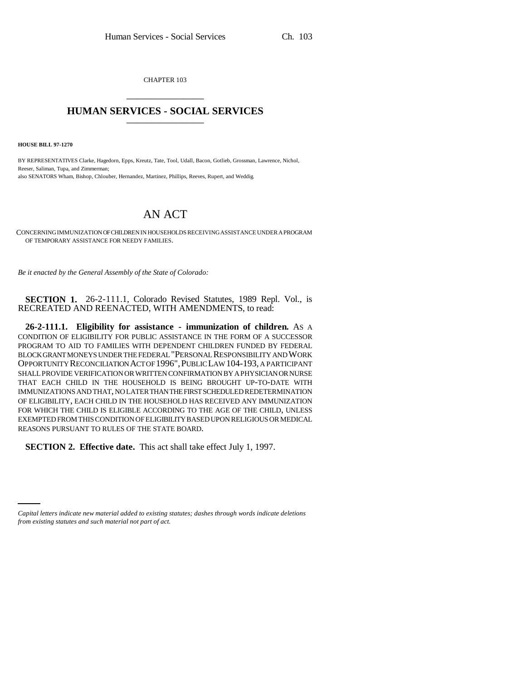CHAPTER 103 \_\_\_\_\_\_\_\_\_\_\_\_\_\_\_

## **HUMAN SERVICES - SOCIAL SERVICES** \_\_\_\_\_\_\_\_\_\_\_\_\_\_\_

**HOUSE BILL 97-1270**

BY REPRESENTATIVES Clarke, Hagedorn, Epps, Kreutz, Tate, Tool, Udall, Bacon, Gotlieb, Grossman, Lawrence, Nichol, Reeser, Saliman, Tupa, and Zimmerman; also SENATORS Wham, Bishop, Chlouber, Hernandez, Martinez, Phillips, Reeves, Rupert, and Weddig.

## AN ACT

CONCERNING IMMUNIZATION OF CHILDREN IN HOUSEHOLDS RECEIVING ASSISTANCE UNDER A PROGRAM OF TEMPORARY ASSISTANCE FOR NEEDY FAMILIES.

*Be it enacted by the General Assembly of the State of Colorado:*

**SECTION 1.** 26-2-111.1, Colorado Revised Statutes, 1989 Repl. Vol., is RECREATED AND REENACTED, WITH AMENDMENTS, to read:

**26-2-111.1. Eligibility for assistance - immunization of children.** AS A CONDITION OF ELIGIBILITY FOR PUBLIC ASSISTANCE IN THE FORM OF A SUCCESSOR PROGRAM TO AID TO FAMILIES WITH DEPENDENT CHILDREN FUNDED BY FEDERAL BLOCK GRANT MONEYS UNDER THE FEDERAL "PERSONAL RESPONSIBILITY AND WORK OPPORTUNITY RECONCILIATION ACT OF 1996",PUBLIC LAW 104-193, A PARTICIPANT SHALL PROVIDE VERIFICATION OR WRITTEN CONFIRMATION BY A PHYSICIAN OR NURSE THAT EACH CHILD IN THE HOUSEHOLD IS BEING BROUGHT UP-TO-DATE WITH IMMUNIZATIONS AND THAT, NO LATER THAN THE FIRST SCHEDULED REDETERMINATION OF ELIGIBILITY, EACH CHILD IN THE HOUSEHOLD HAS RECEIVED ANY IMMUNIZATION FOR WHICH THE CHILD IS ELIGIBLE ACCORDING TO THE AGE OF THE CHILD, UNLESS EXEMPTED FROM THIS CONDITION OF ELIGIBILITY BASED UPON RELIGIOUS OR MEDICAL REASONS PURSUANT TO RULES OF THE STATE BOARD.

**SECTION 2. Effective date.** This act shall take effect July 1, 1997.

*Capital letters indicate new material added to existing statutes; dashes through words indicate deletions from existing statutes and such material not part of act.*